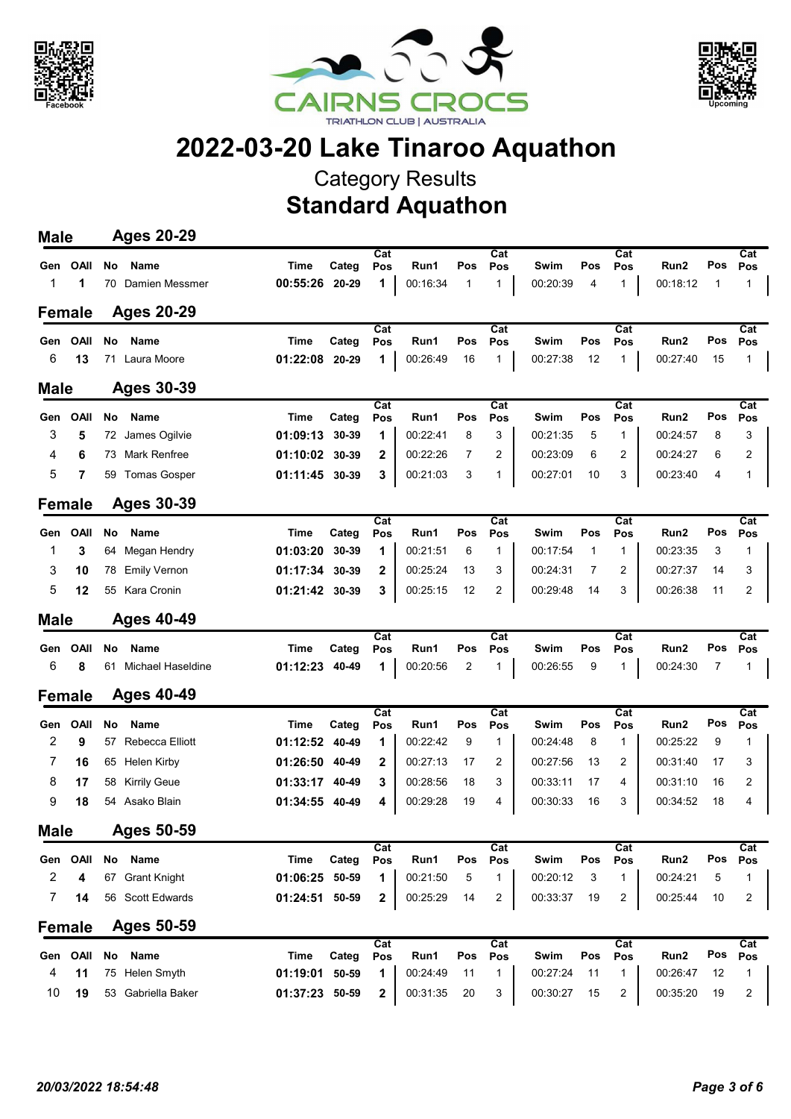





## 2022-03-20 Lake Tinaroo Aquathon

Category Results

Standard Aquathon

| Cat<br>Cat<br>Cat<br><b>OAII</b><br><b>No</b><br><b>Name</b><br><b>Time</b><br>Categ<br>Run1<br>Pos<br>Swim<br>Pos<br>Run2<br>Gen<br>Pos<br>Pos<br>Pos<br>1<br>1<br>00:16:34<br>00:18:12<br>00:55:26<br>20-29<br>$\mathbf{1}$<br>00:20:39<br>4<br>1<br>1<br>Damien Messmer<br>1<br>70<br><b>Ages 20-29</b><br><b>Female</b><br>$\overline{Cat}$<br>$\overline{Cat}$<br>Cat<br><b>OAII</b><br><b>Name</b><br>Time<br>Categ<br>Run1<br>Pos<br>Swim<br>Pos<br>Run2<br>No<br>Pos<br>Pos<br>Pos<br>Gen<br>6<br>13<br>1<br>00:26:49<br>00:27:38<br>00:27:40<br>71 Laura Moore<br>01:22:08<br>20-29<br>16<br>$\mathbf{1}$<br>12<br>1 | Cat<br>Pos<br>Pos<br>$\mathbf 1$<br>1<br>Cat<br>Pos<br>Pos<br>15<br>1<br>Cat<br>Pos<br>Pos |  |
|-------------------------------------------------------------------------------------------------------------------------------------------------------------------------------------------------------------------------------------------------------------------------------------------------------------------------------------------------------------------------------------------------------------------------------------------------------------------------------------------------------------------------------------------------------------------------------------------------------------------------------|--------------------------------------------------------------------------------------------|--|
|                                                                                                                                                                                                                                                                                                                                                                                                                                                                                                                                                                                                                               |                                                                                            |  |
|                                                                                                                                                                                                                                                                                                                                                                                                                                                                                                                                                                                                                               |                                                                                            |  |
|                                                                                                                                                                                                                                                                                                                                                                                                                                                                                                                                                                                                                               |                                                                                            |  |
|                                                                                                                                                                                                                                                                                                                                                                                                                                                                                                                                                                                                                               |                                                                                            |  |
|                                                                                                                                                                                                                                                                                                                                                                                                                                                                                                                                                                                                                               |                                                                                            |  |
|                                                                                                                                                                                                                                                                                                                                                                                                                                                                                                                                                                                                                               |                                                                                            |  |
| Ages 30-39<br><b>Male</b>                                                                                                                                                                                                                                                                                                                                                                                                                                                                                                                                                                                                     |                                                                                            |  |
| Cat<br>Cat<br>$\overline{\text{Cat}}$<br><b>OAII</b><br>No<br><b>Name</b><br>Categ<br>Run1<br>Pos<br>Swim<br>Pos<br>Run2<br>Time<br>Pos<br>Gen<br>Pos<br>Pos                                                                                                                                                                                                                                                                                                                                                                                                                                                                  |                                                                                            |  |
| 3<br>5<br>1<br>00:22:41<br>3<br>James Ogilvie<br>01:09:13<br>30-39<br>8<br>00:21:35<br>5<br>$\mathbf{1}$<br>00:24:57<br>72                                                                                                                                                                                                                                                                                                                                                                                                                                                                                                    | 3<br>8                                                                                     |  |
| 01:10:02<br>$\mathbf{2}$<br>7<br>2<br>4<br>6<br><b>Mark Renfree</b><br>30-39<br>00:22:26<br>2<br>00:23:09<br>6<br>00:24:27<br>73                                                                                                                                                                                                                                                                                                                                                                                                                                                                                              | 6<br>2                                                                                     |  |
| 5<br>01:11:45<br>3<br>3<br>7<br>30-39<br>00:21:03<br>3<br>$\mathbf{1}$<br>00:27:01<br>10<br>00:23:40<br><b>Tomas Gosper</b><br>59                                                                                                                                                                                                                                                                                                                                                                                                                                                                                             | 4<br>1                                                                                     |  |
| <b>Ages 30-39</b><br><b>Female</b>                                                                                                                                                                                                                                                                                                                                                                                                                                                                                                                                                                                            |                                                                                            |  |
| $\overline{Cat}$<br>$\overline{\text{Cat}}$<br>$\overline{\text{Cat}}$<br>OAII<br>No<br><b>Name</b><br><b>Time</b><br>Categ<br>Run1<br>Pos<br>Swim<br>Pos<br>Run2<br>Pos<br>Pos<br>Pos<br>Gen                                                                                                                                                                                                                                                                                                                                                                                                                                 | Cat<br>Pos<br>Pos                                                                          |  |
| 3<br>1<br>00:21:51<br>$\mathbf{1}$<br>00:17:54<br>$\mathbf{1}$<br>1<br>Megan Hendry<br>01:03:20<br>30-39<br>6<br>00:23:35<br>1<br>64                                                                                                                                                                                                                                                                                                                                                                                                                                                                                          | 3<br>1                                                                                     |  |
| 3<br>$\mathbf{2}$<br>00:25:24<br>$\overline{2}$<br>10<br><b>Emily Vernon</b><br>01:17:34<br>30-39<br>13<br>3<br>00:24:31<br>7<br>00:27:37<br>78                                                                                                                                                                                                                                                                                                                                                                                                                                                                               | 14<br>3                                                                                    |  |
| 5<br>01:21:42<br>3<br>00:25:15<br>$\overline{2}$<br>00:29:48<br>3<br>00:26:38<br>12<br>55 Kara Cronin<br>30-39<br>12<br>14                                                                                                                                                                                                                                                                                                                                                                                                                                                                                                    | 11<br>2                                                                                    |  |
| <b>Ages 40-49</b><br><b>Male</b>                                                                                                                                                                                                                                                                                                                                                                                                                                                                                                                                                                                              |                                                                                            |  |
| Cat<br>Cat<br>Cat<br>OAII<br>No<br><b>Name</b><br><b>Time</b><br>Categ<br>Run1<br>Pos<br>Swim<br>Pos<br>Run2<br>Pos<br>Pos<br>Pos<br>Gen                                                                                                                                                                                                                                                                                                                                                                                                                                                                                      | Cat<br>Pos<br>Pos                                                                          |  |
| 6<br>01:12:23<br>8<br>Michael Haseldine<br>40-49<br>1<br>00:20:56<br>2<br>1<br>00:26:55<br>9<br>$\mathbf{1}$<br>00:24:30<br>61                                                                                                                                                                                                                                                                                                                                                                                                                                                                                                | $\overline{7}$<br>1                                                                        |  |
| <b>Ages 40-49</b><br><b>Female</b>                                                                                                                                                                                                                                                                                                                                                                                                                                                                                                                                                                                            |                                                                                            |  |
| Cat<br>Cat<br>Cat<br><b>OAII</b><br>No<br>Name<br>Categ<br>Run1<br>Pos<br>Pos<br>Swim<br>Pos<br>Pos<br>Run2<br>Time<br>Pos<br>Gen                                                                                                                                                                                                                                                                                                                                                                                                                                                                                             | Cat<br>Pos<br>Pos                                                                          |  |
| 2<br>9<br><b>Rebecca Elliott</b><br>1<br>00:22:42<br>$\mathbf{1}$<br>$\mathbf{1}$<br>00:25:22<br>01:12:52<br>40-49<br>9<br>00:24:48<br>8<br>57                                                                                                                                                                                                                                                                                                                                                                                                                                                                                | 9<br>1                                                                                     |  |
| 7<br>01:26:50<br>2<br>00:27:13<br>17<br>2<br>00:27:56<br>13<br>2<br>00:31:40<br>16<br>Helen Kirby<br>40-49<br>65                                                                                                                                                                                                                                                                                                                                                                                                                                                                                                              | 17<br>3                                                                                    |  |
| 8<br><b>Kirrily Geue</b><br>01:33:17<br>3<br>00:28:56<br>18<br>3<br>00:33:11<br>17<br>4<br>00:31:10<br>17<br>40-49<br>58                                                                                                                                                                                                                                                                                                                                                                                                                                                                                                      | 2<br>16                                                                                    |  |
| 9<br>Asako Blain<br>01:34:55<br>00:29:28<br>19<br>4<br>00:30:33<br>16<br>3<br>00:34:52<br>18<br>40-49<br>4<br>54                                                                                                                                                                                                                                                                                                                                                                                                                                                                                                              | 18<br>4                                                                                    |  |
| <b>Male</b><br>Ages 50-59                                                                                                                                                                                                                                                                                                                                                                                                                                                                                                                                                                                                     |                                                                                            |  |
| Cat<br>Cat<br>Cat<br>OAII<br><b>Name</b><br>Categ<br>Run1<br>Pos<br>Run2<br>Gen<br>No<br><b>Time</b><br>Pos<br>Pos<br>Pos<br>Swim<br>Pos                                                                                                                                                                                                                                                                                                                                                                                                                                                                                      | Cat<br>Pos<br>Pos                                                                          |  |
| 2<br>$\mathbf{1}$<br>$\mathbf{1}$<br>67 Grant Knight<br>01:06:25<br>1<br>00:21:50<br>5<br>00:20:12<br>3<br>00:24:21<br>4<br>50-59                                                                                                                                                                                                                                                                                                                                                                                                                                                                                             | 5<br>1                                                                                     |  |
| 7<br>56 Scott Edwards<br>01:24:51 50-59<br>00:25:29<br>$\overline{2}$<br>00:33:37<br>$\overline{2}$<br>00:25:44<br>14<br>2<br>14<br>19                                                                                                                                                                                                                                                                                                                                                                                                                                                                                        | 10<br>2                                                                                    |  |
| <b>Ages 50-59</b><br><b>Female</b>                                                                                                                                                                                                                                                                                                                                                                                                                                                                                                                                                                                            |                                                                                            |  |
| $\overline{Cat}$<br>Cat<br>Cat                                                                                                                                                                                                                                                                                                                                                                                                                                                                                                                                                                                                | Cat                                                                                        |  |
| OAII<br>Name<br><b>Time</b><br>Categ<br>Pos<br>Run2<br>No<br>Pos<br>Run1<br>Pos<br>Pos<br>Swim<br>Pos<br>Gen<br>4<br>$\mathbf{1}$<br>11<br>75 Helen Smyth<br>01:19:01<br>1<br>00:24:49<br>$\mathbf{1}$<br>00:27:24<br>50-59<br>11<br>11<br>00:26:47                                                                                                                                                                                                                                                                                                                                                                           | Pos<br>Pos<br>12<br>1                                                                      |  |
| 10<br>19<br>53 Gabriella Baker<br>01:37:23 50-59<br>00:31:35<br>20<br>00:30:27<br>$\overline{2}$<br>00:35:20<br>2<br>3<br>15                                                                                                                                                                                                                                                                                                                                                                                                                                                                                                  | 19<br>2                                                                                    |  |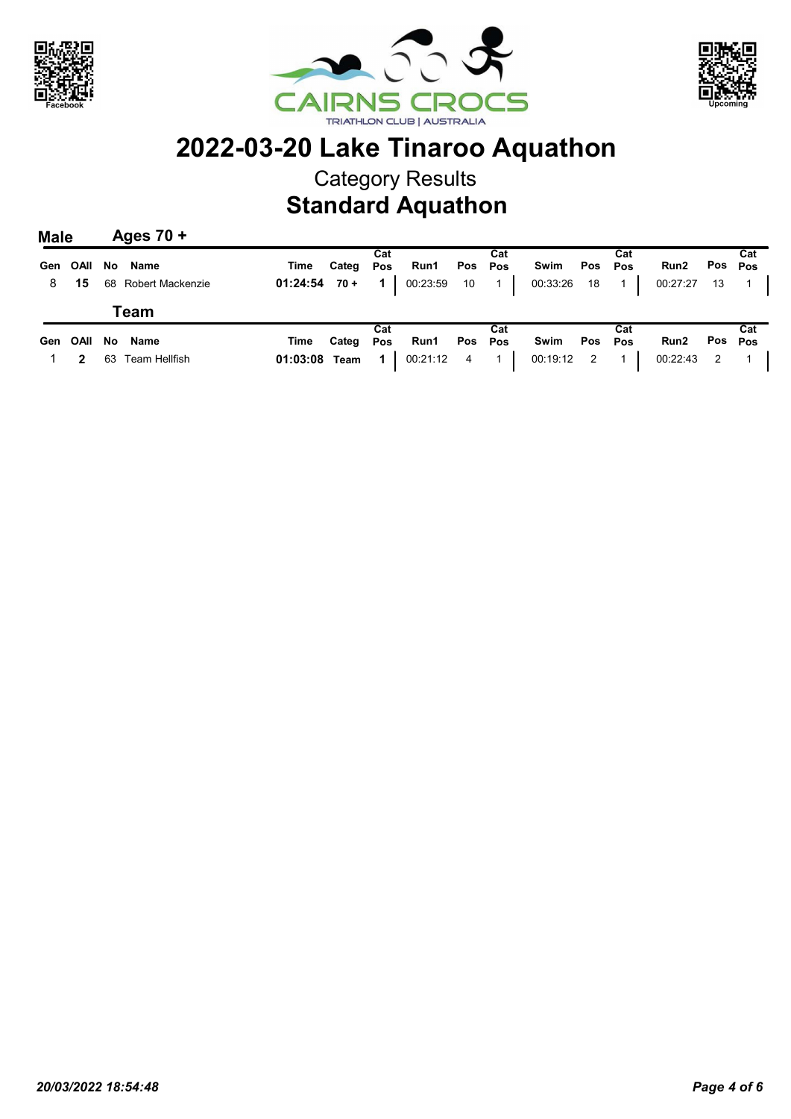





## 2022-03-20 Lake Tinaroo Aquathon

Category Results

Standard Aquathon

| <b>Male</b> |                | Ages $70 +$              |      |           |     |              |  |     |                                           |     |                                                                  |                           |
|-------------|----------------|--------------------------|------|-----------|-----|--------------|--|-----|-------------------------------------------|-----|------------------------------------------------------------------|---------------------------|
|             |                | Gen OAII No Name         | Time | Categ Pos | Cat | Run1 Pos Pos |  | Cat | Swim Pos Pos                              | Cat | Run2                                                             | Cat<br>Pos <sub>Pos</sub> |
|             |                | 8 15 68 Robert Mackenzie |      |           |     |              |  |     |                                           |     | <b>01:24:54 70 + 1</b> 00:23:59 10 1 00:33:26 18 1 00:27:27 13 1 |                           |
|             |                | Team                     |      |           |     |              |  |     |                                           |     |                                                                  |                           |
|             |                | Gen OAII No Name         | Time | Categ Pos | Cat | Run1 Pos Pos |  | Cat | Swim Pos Pos                              | Cat | Run2                                                             | Cat<br>Pos <sub>Pos</sub> |
|             | $\overline{2}$ | 63 Team Hellfish         |      |           |     |              |  |     | 01:03:08 Team 1 00:21:12 4 1 00:19:12 2 1 |     | 00:22:43 2 1                                                     |                           |